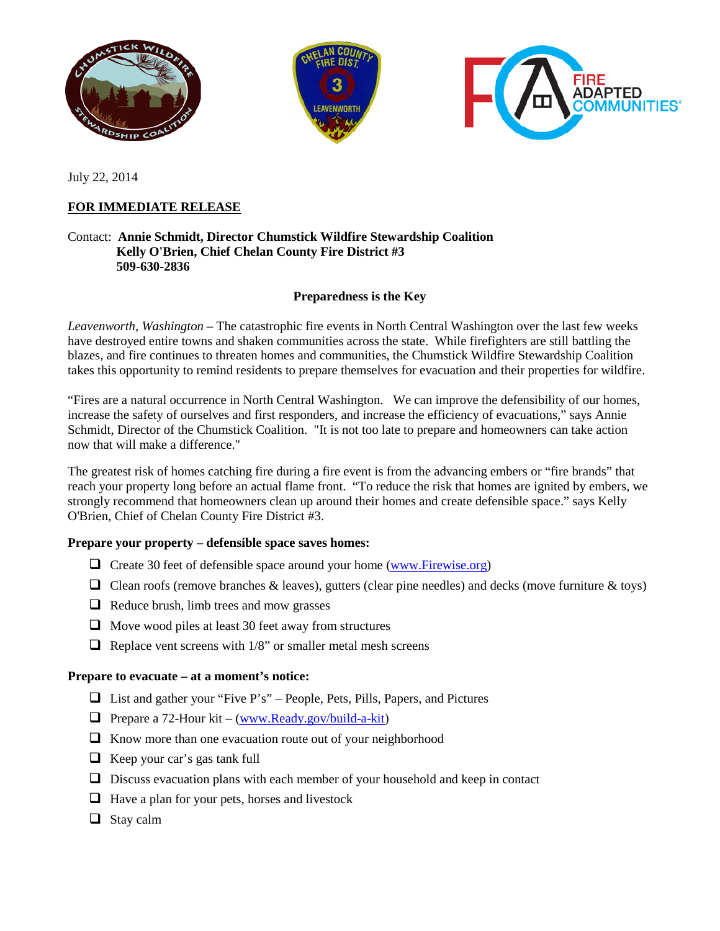

July 22, 2014

# **FOR IMMEDIATE RELEASE**

## Contact: **Annie Schmidt, Director Chumstick Wildfire Stewardship Coalition Kelly O'Brien, Chief Chelan County Fire District #3 509-630-2836**

### **Preparedness is the Key**

*Leavenworth, Washington* – The catastrophic fire events in North Central Washington over the last few weeks have destroyed entire towns and shaken communities across the state. While firefighters are still battling the blazes, and fire continues to threaten homes and communities, the Chumstick Wildfire Stewardship Coalition takes this opportunity to remind residents to prepare themselves for evacuation and their properties for wildfire.

"Fires are a natural occurrence in North Central Washington. We can improve the defensibility of our homes, increase the safety of ourselves and first responders, and increase the efficiency of evacuations," says Annie Schmidt, Director of the Chumstick Coalition. "It is not too late to prepare and homeowners can take action now that will make a difference."

The greatest risk of homes catching fire during a fire event is from the advancing embers or "fire brands" that reach your property long before an actual flame front. "To reduce the risk that homes are ignited by embers, we strongly recommend that homeowners clean up around their homes and create defensible space." says Kelly O'Brien, Chief of Chelan County Fire District #3.

#### **Prepare your property – defensible space saves homes:**

- $\Box$  Create 30 feet of defensible space around your home [\(www.Firewise.org\)](http://www.firewise.org/)
- $\Box$  Clean roofs (remove branches & leaves), gutters (clear pine needles) and decks (move furniture & toys)
- $\Box$  Reduce brush, limb trees and mow grasses
- $\Box$  Move wood piles at least 30 feet away from structures
- $\Box$  Replace vent screens with 1/8" or smaller metal mesh screens

#### **Prepare to evacuate – at a moment's notice:**

- $\Box$  List and gather your "Five P's" People, Pets, Pills, Papers, and Pictures
- $\Box$  Prepare a 72-Hour kit [\(www.Ready.gov/build-a-kit\)](http://www.ready.gov/build-a-kit)
- $\Box$  Know more than one evacuation route out of your neighborhood
- $\Box$  Keep your car's gas tank full
- $\Box$  Discuss evacuation plans with each member of your household and keep in contact
- $\Box$  Have a plan for your pets, horses and livestock
- $\Box$  Stay calm